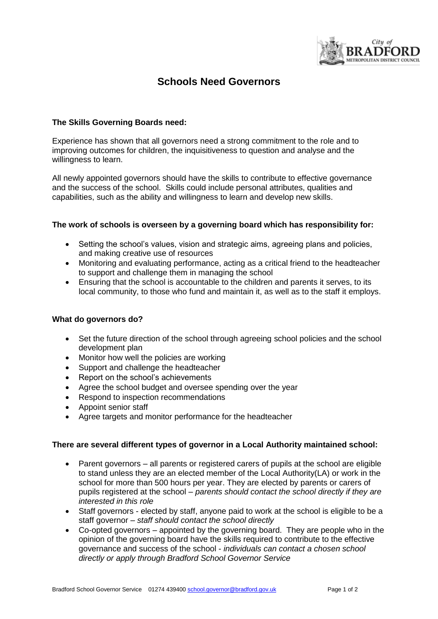

# **Schools Need Governors**

## **The Skills Governing Boards need:**

Experience has shown that all governors need a strong commitment to the role and to improving outcomes for children, the inquisitiveness to question and analyse and the willingness to learn.

All newly appointed governors should have the skills to contribute to effective governance and the success of the school. Skills could include personal attributes, qualities and capabilities, such as the ability and willingness to learn and develop new skills.

### **The work of schools is overseen by a governing board which has responsibility for:**

- Setting the school's values, vision and strategic aims, agreeing plans and policies, and making creative use of resources
- Monitoring and evaluating performance, acting as a critical friend to the headteacher to support and challenge them in managing the school
- Ensuring that the school is accountable to the children and parents it serves, to its local community, to those who fund and maintain it, as well as to the staff it employs.

#### **What do governors do?**

- Set the future direction of the school through agreeing school policies and the school development plan
- Monitor how well the policies are working
- Support and challenge the headteacher
- Report on the school's achievements
- Agree the school budget and oversee spending over the year
- Respond to inspection recommendations
- Appoint senior staff
- Agree targets and monitor performance for the headteacher

#### **There are several different types of governor in a Local Authority maintained school:**

- Parent governors all parents or registered carers of pupils at the school are eligible to stand unless they are an elected member of the Local Authority(LA) or work in the school for more than 500 hours per year. They are elected by parents or carers of pupils registered at the school – *parents should contact the school directly if they are interested in this role*
- Staff governors elected by staff, anyone paid to work at the school is eligible to be a staff governor – *staff should contact the school directly*
- Co-opted governors appointed by the governing board. They are people who in the opinion of the governing board have the skills required to contribute to the effective governance and success of the school - *individuals can contact a chosen school directly or apply through Bradford School Governor Service*